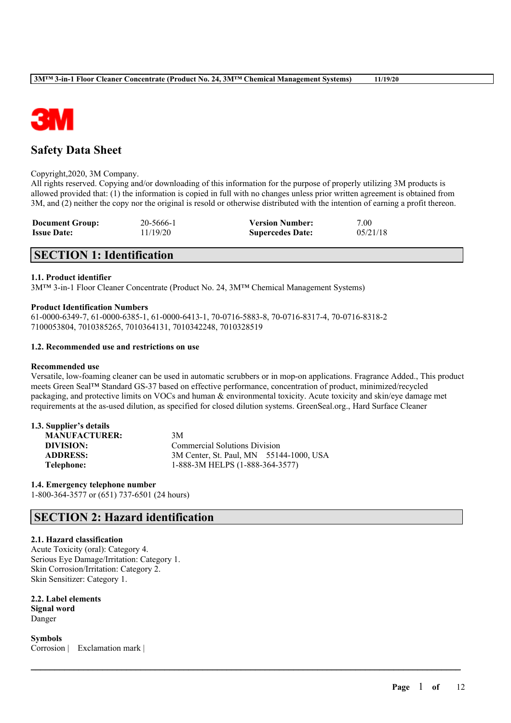

# **Safety Data Sheet**

#### Copyright,2020, 3M Company.

All rights reserved. Copying and/or downloading of this information for the purpose of properly utilizing 3M products is allowed provided that: (1) the information is copied in full with no changes unless prior written agreement is obtained from 3M, and (2) neither the copy nor the original is resold or otherwise distributed with the intention of earning a profit thereon.

| <b>Document Group:</b> | 20-5666-1 | <b>Version Number:</b>  | 7.00     |
|------------------------|-----------|-------------------------|----------|
| <b>Issue Date:</b>     | 11/19/20  | <b>Supercedes Date:</b> | 05/21/18 |

# **SECTION 1: Identification**

## **1.1. Product identifier**

3M™ 3-in-1 Floor Cleaner Concentrate (Product No. 24, 3M™ Chemical Management Systems)

#### **Product Identification Numbers**

61-0000-6349-7, 61-0000-6385-1, 61-0000-6413-1, 70-0716-5883-8, 70-0716-8317-4, 70-0716-8318-2 7100053804, 7010385265, 7010364131, 7010342248, 7010328519

#### **1.2. Recommended use and restrictions on use**

#### **Recommended use**

Versatile, low-foaming cleaner can be used in automatic scrubbers or in mop-on applications. Fragrance Added., This product meets Green Seal™ Standard GS-37 based on effective performance, concentration of product, minimized/recycled packaging, and protective limits on VOCs and human & environmental toxicity. Acute toxicity and skin/eye damage met requirements at the as-used dilution, as specified for closed dilution systems. GreenSeal.org., Hard Surface Cleaner

 $\mathcal{L}_\mathcal{L} = \mathcal{L}_\mathcal{L} = \mathcal{L}_\mathcal{L} = \mathcal{L}_\mathcal{L} = \mathcal{L}_\mathcal{L} = \mathcal{L}_\mathcal{L} = \mathcal{L}_\mathcal{L} = \mathcal{L}_\mathcal{L} = \mathcal{L}_\mathcal{L} = \mathcal{L}_\mathcal{L} = \mathcal{L}_\mathcal{L} = \mathcal{L}_\mathcal{L} = \mathcal{L}_\mathcal{L} = \mathcal{L}_\mathcal{L} = \mathcal{L}_\mathcal{L} = \mathcal{L}_\mathcal{L} = \mathcal{L}_\mathcal{L}$ 

## **1.3. Supplier's details**

| <b>MANUFACTURER:</b> | 3M                                      |  |  |  |
|----------------------|-----------------------------------------|--|--|--|
| DIVISION:            | <b>Commercial Solutions Division</b>    |  |  |  |
| <b>ADDRESS:</b>      | 3M Center, St. Paul, MN 55144-1000, USA |  |  |  |
| <b>Telephone:</b>    | 1-888-3M HELPS (1-888-364-3577)         |  |  |  |

## **1.4. Emergency telephone number**

1-800-364-3577 or (651) 737-6501 (24 hours)

# **SECTION 2: Hazard identification**

## **2.1. Hazard classification**

Acute Toxicity (oral): Category 4. Serious Eye Damage/Irritation: Category 1. Skin Corrosion/Irritation: Category 2. Skin Sensitizer: Category 1.

**2.2. Label elements Signal word** Danger

**Symbols** Corrosion | Exclamation mark |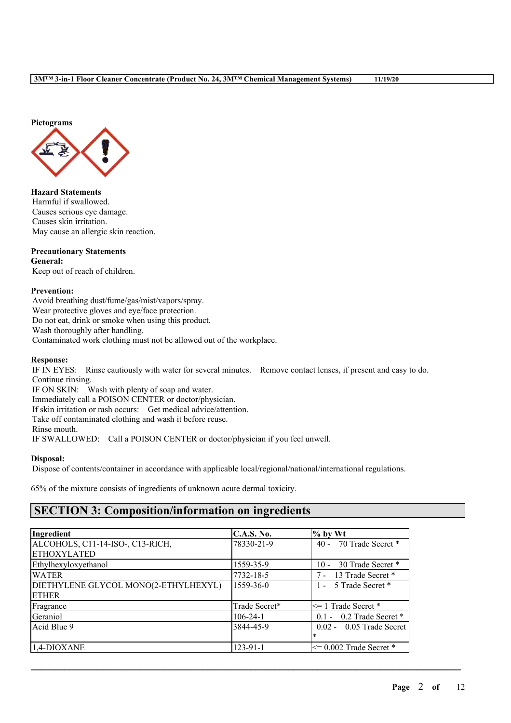

**Hazard Statements** Harmful if swallowed. Causes serious eye damage. Causes skin irritation. May cause an allergic skin reaction.

## **Precautionary Statements**

**General:** Keep out of reach of children.

## **Prevention:**

Avoid breathing dust/fume/gas/mist/vapors/spray. Wear protective gloves and eye/face protection. Do not eat, drink or smoke when using this product. Wash thoroughly after handling. Contaminated work clothing must not be allowed out of the workplace.

### **Response:**

IF IN EYES: Rinse cautiously with water for several minutes. Remove contact lenses, if present and easy to do. Continue rinsing.

IF ON SKIN: Wash with plenty of soap and water. Immediately call a POISON CENTER or doctor/physician. If skin irritation or rash occurs: Get medical advice/attention. Take off contaminated clothing and wash it before reuse. Rinse mouth. IF SWALLOWED: Call a POISON CENTER or doctor/physician if you feel unwell.

## **Disposal:**

Dispose of contents/container in accordance with applicable local/regional/national/international regulations.

65% of the mixture consists of ingredients of unknown acute dermal toxicity.

# **SECTION 3: Composition/information on ingredients**

| Ingredient                           | <b>C.A.S. No.</b> | $%$ by Wt                   |
|--------------------------------------|-------------------|-----------------------------|
| ALCOHOLS, C11-14-ISO-, C13-RICH,     | 78330-21-9        | 70 Trade Secret *<br>$40 -$ |
| <b>ETHOXYLATED</b>                   |                   |                             |
| Ethylhexyloxyethanol                 | 1559-35-9         | 30 Trade Secret *<br>$10 -$ |
| <b>WATER</b>                         | 7732-18-5         | 7 - 13 Trade Secret *       |
| DIETHYLENE GLYCOL MONO(2-ETHYLHEXYL) | 1559-36-0         | 1 - 5 Trade Secret *        |
| <b>ETHER</b>                         |                   |                             |
| Fragrance                            | Trade Secret*     | $\leq$ 1 Trade Secret *     |
| Geraniol                             | $106 - 24 - 1$    | $0.1 - 0.2$ Trade Secret *  |
| Acid Blue 9                          | 3844-45-9         | $0.02 - 0.05$ Trade Secret  |
|                                      |                   | $\ast$                      |
| $1,4$ -DIOXANE                       | $123 - 91 - 1$    | $\leq$ 0.002 Trade Secret * |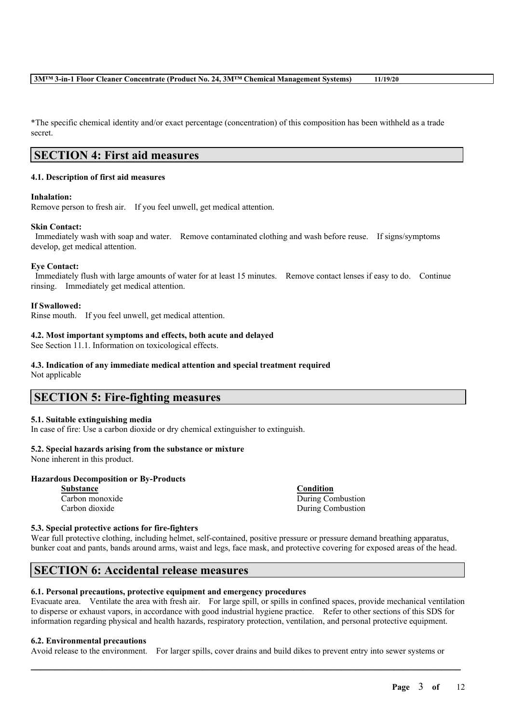\*The specific chemical identity and/or exact percentage (concentration) of this composition has been withheld as a trade secret.

## **SECTION 4: First aid measures**

## **4.1. Description of first aid measures**

## **Inhalation:**

Remove person to fresh air. If you feel unwell, get medical attention.

#### **Skin Contact:**

Immediately wash with soap and water. Remove contaminated clothing and wash before reuse. If signs/symptoms develop, get medical attention.

#### **Eye Contact:**

Immediately flush with large amounts of water for at least 15 minutes. Remove contact lenses if easy to do. Continue rinsing. Immediately get medical attention.

#### **If Swallowed:**

Rinse mouth. If you feel unwell, get medical attention.

#### **4.2. Most important symptoms and effects, both acute and delayed**

See Section 11.1. Information on toxicological effects.

## **4.3. Indication of any immediate medical attention and special treatment required**

Not applicable

## **SECTION 5: Fire-fighting measures**

## **5.1. Suitable extinguishing media**

In case of fire: Use a carbon dioxide or dry chemical extinguisher to extinguish.

## **5.2. Special hazards arising from the substance or mixture**

None inherent in this product.

## **Hazardous Decomposition or By-Products**

**Substance Condition**

Carbon monoxide During Combustion Carbon dioxide During Combustion

## **5.3. Special protective actions for fire-fighters**

Wear full protective clothing, including helmet, self-contained, positive pressure or pressure demand breathing apparatus, bunker coat and pants, bands around arms, waist and legs, face mask, and protective covering for exposed areas of the head.

# **SECTION 6: Accidental release measures**

## **6.1. Personal precautions, protective equipment and emergency procedures**

Evacuate area. Ventilate the area with fresh air. For large spill, or spills in confined spaces, provide mechanical ventilation to disperse or exhaust vapors, in accordance with good industrial hygiene practice. Refer to other sections of this SDS for information regarding physical and health hazards, respiratory protection, ventilation, and personal protective equipment.

#### **6.2. Environmental precautions**

Avoid release to the environment. For larger spills, cover drains and build dikes to prevent entry into sewer systems or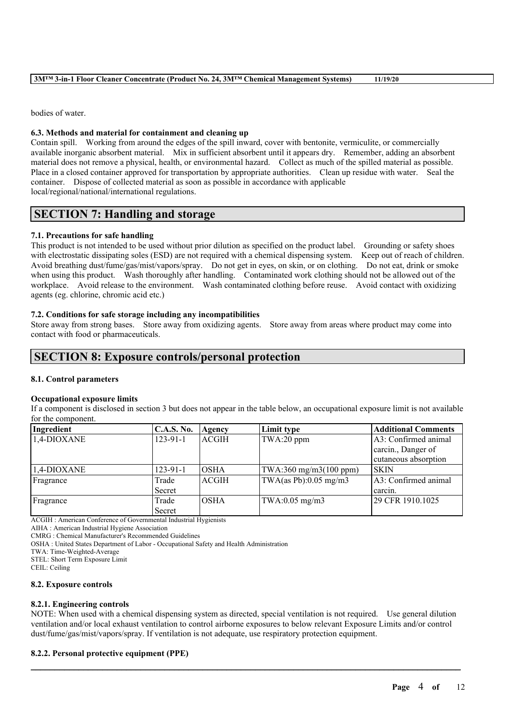bodies of water.

## **6.3. Methods and material for containment and cleaning up**

Contain spill. Working from around the edges of the spill inward, cover with bentonite, vermiculite, or commercially available inorganic absorbent material. Mix in sufficient absorbent until it appears dry. Remember, adding an absorbent material does not remove a physical, health, or environmental hazard. Collect as much of the spilled material as possible. Place in a closed container approved for transportation by appropriate authorities. Clean up residue with water. Seal the container. Dispose of collected material as soon as possible in accordance with applicable local/regional/national/international regulations.

# **SECTION 7: Handling and storage**

## **7.1. Precautions for safe handling**

This product is not intended to be used without prior dilution as specified on the product label. Grounding or safety shoes with electrostatic dissipating soles (ESD) are not required with a chemical dispensing system. Keep out of reach of children. Avoid breathing dust/fume/gas/mist/vapors/spray. Do not get in eyes, on skin, or on clothing. Do not eat, drink or smoke when using this product. Wash thoroughly after handling. Contaminated work clothing should not be allowed out of the workplace. Avoid release to the environment. Wash contaminated clothing before reuse. Avoid contact with oxidizing agents (eg. chlorine, chromic acid etc.)

## **7.2. Conditions for safe storage including any incompatibilities**

Store away from strong bases. Store away from oxidizing agents. Store away from areas where product may come into contact with food or pharmaceuticals.

# **SECTION 8: Exposure controls/personal protection**

## **8.1. Control parameters**

## **Occupational exposure limits**

If a component is disclosed in section 3 but does not appear in the table below, an occupational exposure limit is not available for the component.

| Ingredient  | C.A.S. No.     | Agency       | Limit type               | <b>Additional Comments</b> |
|-------------|----------------|--------------|--------------------------|----------------------------|
| 1,4-DIOXANE | $123 - 91 - 1$ | <b>ACGIH</b> | TWA:20 ppm               | A3: Confirmed animal       |
|             |                |              |                          | carcin., Danger of         |
|             |                |              |                          | cutaneous absorption       |
| 1.4-DIOXANE | $123 - 91 - 1$ | <b>OSHA</b>  | TWA:360 mg/m3(100 ppm)   | SKIN                       |
| Fragrance   | Trade          | <b>ACGIH</b> | TWA(as Pb): $0.05$ mg/m3 | A3: Confirmed animal       |
|             | Secret         |              |                          | carcin.                    |
| Fragrance   | Trade          | <b>OSHA</b>  | $TWA:0.05$ mg/m $3$      | 29 CFR 1910.1025           |
|             | Secret         |              |                          |                            |

ACGIH : American Conference of Governmental Industrial Hygienists

AIHA : American Industrial Hygiene Association

CMRG : Chemical Manufacturer's Recommended Guidelines

OSHA : United States Department of Labor - Occupational Safety and Health Administration

TWA: Time-Weighted-Average

STEL: Short Term Exposure Limit

CEIL: Ceiling

## **8.2. Exposure controls**

## **8.2.1. Engineering controls**

NOTE: When used with a chemical dispensing system as directed, special ventilation is not required. Use general dilution ventilation and/or local exhaust ventilation to control airborne exposures to below relevant Exposure Limits and/or control dust/fume/gas/mist/vapors/spray. If ventilation is not adequate, use respiratory protection equipment.

 $\mathcal{L}_\mathcal{L} = \mathcal{L}_\mathcal{L} = \mathcal{L}_\mathcal{L} = \mathcal{L}_\mathcal{L} = \mathcal{L}_\mathcal{L} = \mathcal{L}_\mathcal{L} = \mathcal{L}_\mathcal{L} = \mathcal{L}_\mathcal{L} = \mathcal{L}_\mathcal{L} = \mathcal{L}_\mathcal{L} = \mathcal{L}_\mathcal{L} = \mathcal{L}_\mathcal{L} = \mathcal{L}_\mathcal{L} = \mathcal{L}_\mathcal{L} = \mathcal{L}_\mathcal{L} = \mathcal{L}_\mathcal{L} = \mathcal{L}_\mathcal{L}$ 

## **8.2.2. Personal protective equipment (PPE)**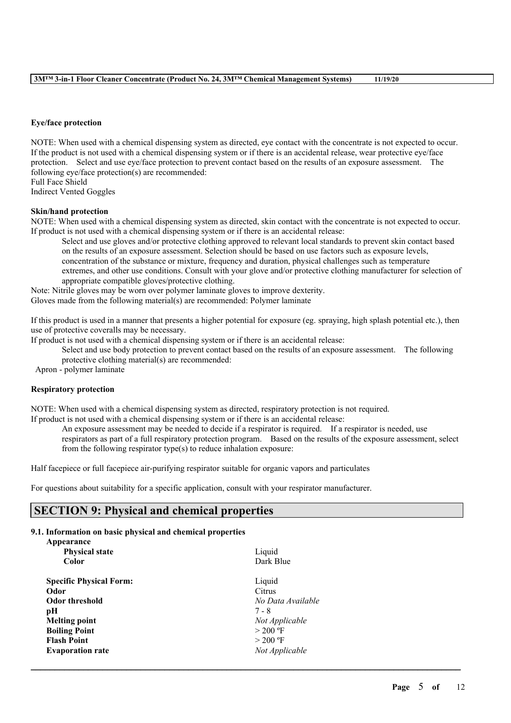#### **Eye/face protection**

NOTE: When used with a chemical dispensing system as directed, eye contact with the concentrate is not expected to occur. If the product is not used with a chemical dispensing system or if there is an accidental release, wear protective eye/face protection. Select and use eye/face protection to prevent contact based on the results of an exposure assessment. The following eye/face protection(s) are recommended: Full Face Shield

Indirect Vented Goggles

#### **Skin/hand protection**

NOTE: When used with a chemical dispensing system as directed, skin contact with the concentrate is not expected to occur. If product is not used with a chemical dispensing system or if there is an accidental release:

Select and use gloves and/or protective clothing approved to relevant local standards to prevent skin contact based on the results of an exposure assessment. Selection should be based on use factors such as exposure levels, concentration of the substance or mixture, frequency and duration, physical challenges such as temperature extremes, and other use conditions. Consult with your glove and/or protective clothing manufacturer for selection of appropriate compatible gloves/protective clothing.

Note: Nitrile gloves may be worn over polymer laminate gloves to improve dexterity.

Gloves made from the following material(s) are recommended: Polymer laminate

If this product is used in a manner that presents a higher potential for exposure (eg. spraying, high splash potential etc.), then use of protective coveralls may be necessary.

If product is not used with a chemical dispensing system or if there is an accidental release:

Select and use body protection to prevent contact based on the results of an exposure assessment. The following protective clothing material(s) are recommended:

Apron - polymer laminate

## **Respiratory protection**

NOTE: When used with a chemical dispensing system as directed, respiratory protection is not required. If product is not used with a chemical dispensing system or if there is an accidental release:

An exposure assessment may be needed to decide if a respirator is required. If a respirator is needed, use respirators as part of a full respiratory protection program. Based on the results of the exposure assessment, select from the following respirator type(s) to reduce inhalation exposure:

 $\mathcal{L}_\mathcal{L} = \mathcal{L}_\mathcal{L} = \mathcal{L}_\mathcal{L} = \mathcal{L}_\mathcal{L} = \mathcal{L}_\mathcal{L} = \mathcal{L}_\mathcal{L} = \mathcal{L}_\mathcal{L} = \mathcal{L}_\mathcal{L} = \mathcal{L}_\mathcal{L} = \mathcal{L}_\mathcal{L} = \mathcal{L}_\mathcal{L} = \mathcal{L}_\mathcal{L} = \mathcal{L}_\mathcal{L} = \mathcal{L}_\mathcal{L} = \mathcal{L}_\mathcal{L} = \mathcal{L}_\mathcal{L} = \mathcal{L}_\mathcal{L}$ 

Half facepiece or full facepiece air-purifying respirator suitable for organic vapors and particulates

For questions about suitability for a specific application, consult with your respirator manufacturer.

## **SECTION 9: Physical and chemical properties**

## **9.1. Information on basic physical and chemical properties**

| Appearance                     |                   |  |  |
|--------------------------------|-------------------|--|--|
| <b>Physical state</b>          | Liquid            |  |  |
| Color                          | Dark Blue         |  |  |
| <b>Specific Physical Form:</b> | Liquid            |  |  |
| Odor                           | Citrus            |  |  |
| Odor threshold                 | No Data Available |  |  |
| pН                             | $7 - 8$           |  |  |
| <b>Melting point</b>           | Not Applicable    |  |  |
| <b>Boiling Point</b>           | $>$ 200 °F        |  |  |
| <b>Flash Point</b>             | $>$ 200 °F        |  |  |
| <b>Evaporation rate</b>        | Not Applicable    |  |  |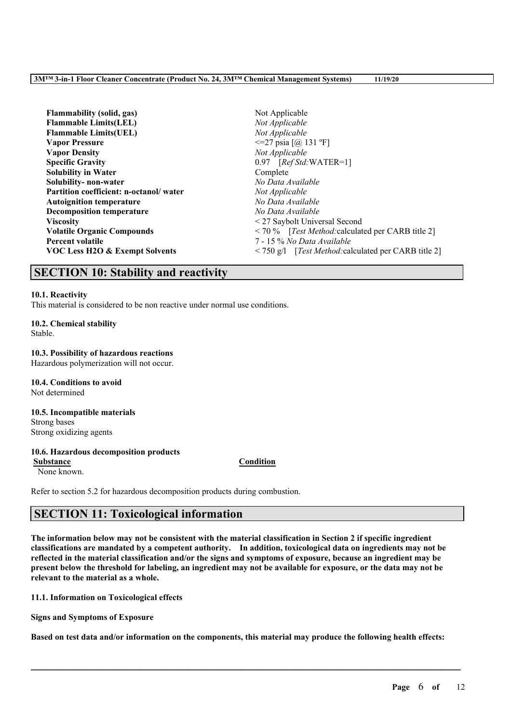| Flammability (solid, gas)              | Not Applicable                                                                     |  |  |
|----------------------------------------|------------------------------------------------------------------------------------|--|--|
| <b>Flammable Limits(LEL)</b>           | Not Applicable                                                                     |  |  |
| <b>Flammable Limits(UEL)</b>           | Not Applicable                                                                     |  |  |
| <b>Vapor Pressure</b>                  | $\leq$ 27 psia [@ 131 °F]                                                          |  |  |
| <b>Vapor Density</b>                   | Not Applicable                                                                     |  |  |
| <b>Specific Gravity</b>                | 0.97 [Ref Std: WATER=1]                                                            |  |  |
| <b>Solubility in Water</b>             | Complete                                                                           |  |  |
| Solubility-non-water                   | No Data Available                                                                  |  |  |
| Partition coefficient: n-octanol/water | Not Applicable                                                                     |  |  |
| <b>Autoignition temperature</b>        | No Data Available                                                                  |  |  |
| <b>Decomposition temperature</b>       | No Data Available                                                                  |  |  |
| <b>Viscosity</b>                       | <27 Saybolt Universal Second                                                       |  |  |
| <b>Volatile Organic Compounds</b>      | $\leq$ 70 % [ <i>Test Method:</i> calculated per CARB title 2]                     |  |  |
| <b>Percent volatile</b>                | 7 - 15 % No Data Available                                                         |  |  |
| VOC Less H2O & Exempt Solvents         | $\langle 750 \text{ g/l} \quad [Test Method: calculated \text{ per CARB title 2}]$ |  |  |

## **SECTION 10: Stability and reactivity**

#### **10.1. Reactivity**

This material is considered to be non reactive under normal use conditions.

# **10.2. Chemical stability**

Stable.

#### **10.3. Possibility of hazardous reactions**

Hazardous polymerization will not occur.

#### **10.4. Conditions to avoid** Not determined

### **10.5. Incompatible materials** Strong bases Strong oxidizing agents

## **10.6. Hazardous decomposition products**

**Substance Condition** None known.

Refer to section 5.2 for hazardous decomposition products during combustion.

# **SECTION 11: Toxicological information**

The information below may not be consistent with the material classification in Section 2 if specific ingredient **classifications are mandated by a competent authority. In addition, toxicological data on ingredients may not be** reflected in the material classification and/or the signs and symptoms of exposure, because an ingredient may be present below the threshold for labeling, an ingredient may not be available for exposure, or the data may not be **relevant to the material as a whole.**

**11.1. Information on Toxicological effects**

**Signs and Symptoms of Exposure**

Based on test data and/or information on the components, this material may produce the following health effects: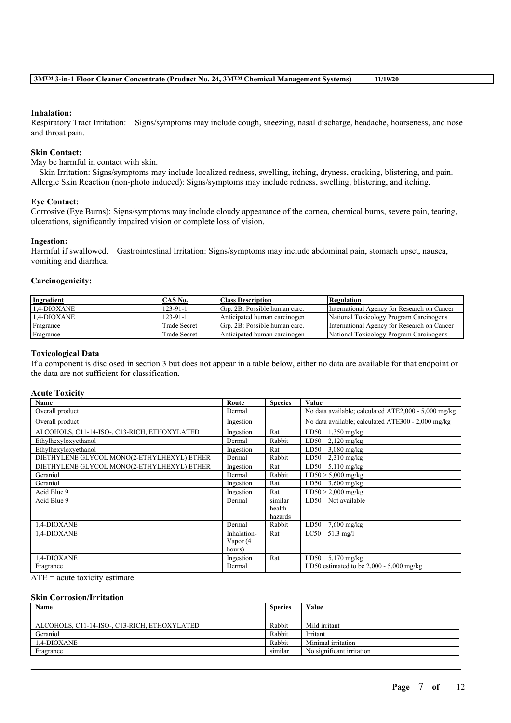#### **Inhalation:**

Respiratory Tract Irritation: Signs/symptoms may include cough, sneezing, nasal discharge, headache, hoarseness, and nose and throat pain.

#### **Skin Contact:**

May be harmful in contact with skin.

Skin Irritation: Signs/symptoms may include localized redness, swelling, itching, dryness, cracking, blistering, and pain. Allergic Skin Reaction (non-photo induced): Signs/symptoms may include redness, swelling, blistering, and itching.

#### **Eye Contact:**

Corrosive (Eye Burns): Signs/symptoms may include cloudy appearance of the cornea, chemical burns, severe pain, tearing, ulcerations, significantly impaired vision or complete loss of vision.

#### **Ingestion:**

Harmful if swallowed. Gastrointestinal Irritation: Signs/symptoms may include abdominal pain, stomach upset, nausea, vomiting and diarrhea.

### **Carcinogenicity:**

| Ingredient     | CAS No.        | <b>Class Description</b>      | Regulation                                  |
|----------------|----------------|-------------------------------|---------------------------------------------|
| $1.4$ -DIOXANE | $123 - 91 - 1$ | Grp. 2B: Possible human carc. | International Agency for Research on Cancer |
| 1.4-DIOXANE    | $123 - 91 - 1$ | Anticipated human carcinogen  | National Toxicology Program Carcinogens     |
| Fragrance      | Trade Secret   | Grp. 2B: Possible human carc. | International Agency for Research on Cancer |
| Fragrance      | Trade Secret   | Anticipated human carcinogen  | National Toxicology Program Carcinogens     |

#### **Toxicological Data**

If a component is disclosed in section 3 but does not appear in a table below, either no data are available for that endpoint or the data are not sufficient for classification.

### **Acute Toxicity**

| Name                                         | Route       | <b>Species</b> | Value                                                |
|----------------------------------------------|-------------|----------------|------------------------------------------------------|
| Overall product                              | Dermal      |                | No data available; calculated ATE2,000 - 5,000 mg/kg |
| Overall product                              | Ingestion   |                | No data available; calculated ATE300 - 2,000 mg/kg   |
| ALCOHOLS, C11-14-ISO-, C13-RICH, ETHOXYLATED | Ingestion   | Rat            | LD50<br>$1,350$ mg/kg                                |
| Ethylhexyloxyethanol                         | Dermal      | Rabbit         | LD50<br>$2,120$ mg/kg                                |
| Ethylhexyloxyethanol                         | Ingestion   | Rat            | $3,080$ mg/kg<br>LD50                                |
| DIETHYLENE GLYCOL MONO(2-ETHYLHEXYL) ETHER   | Dermal      | Rabbit         | LD50<br>$2,310$ mg/kg                                |
| DIETHYLENE GLYCOL MONO(2-ETHYLHEXYL) ETHER   | Ingestion   | Rat            | LD50<br>$5,110$ mg/kg                                |
| Geraniol                                     | Dermal      | Rabbit         | $LD50 > 5,000$ mg/kg                                 |
| Geraniol                                     | Ingestion   | Rat            | $LD50$ 3,600 mg/kg                                   |
| Acid Blue 9                                  | Ingestion   | Rat            | $LD50 > 2,000$ mg/kg                                 |
| Acid Blue 9                                  | Dermal      | similar        | Not available<br>LD50                                |
|                                              |             | health         |                                                      |
|                                              |             | hazards        |                                                      |
| 1,4-DIOXANE                                  | Dermal      | Rabbit         | $7,600$ mg/kg<br>LD50                                |
| 1,4-DIOXANE                                  | Inhalation- | Rat            | LC50<br>$51.3$ mg/l                                  |
|                                              | Vapor (4    |                |                                                      |
|                                              | hours)      |                |                                                      |
| 1,4-DIOXANE                                  | Ingestion   | Rat            | $5,170$ mg/kg<br>LD50                                |
| Fragrance                                    | Dermal      |                | LD50 estimated to be $2,000 - 5,000$ mg/kg           |

 $ATE = acute$  toxicity estimate

### **Skin Corrosion/Irritation**

| Name                                         | <b>Species</b> | Value                     |
|----------------------------------------------|----------------|---------------------------|
| ALCOHOLS, C11-14-ISO-, C13-RICH, ETHOXYLATED | Rabbit         | Mild irritant             |
| Geraniol                                     | Rabbit         | Irritant                  |
| $1.4$ -DIOXANE                               | Rabbit         | Minimal irritation        |
| Fragrance                                    | similar        | No significant irritation |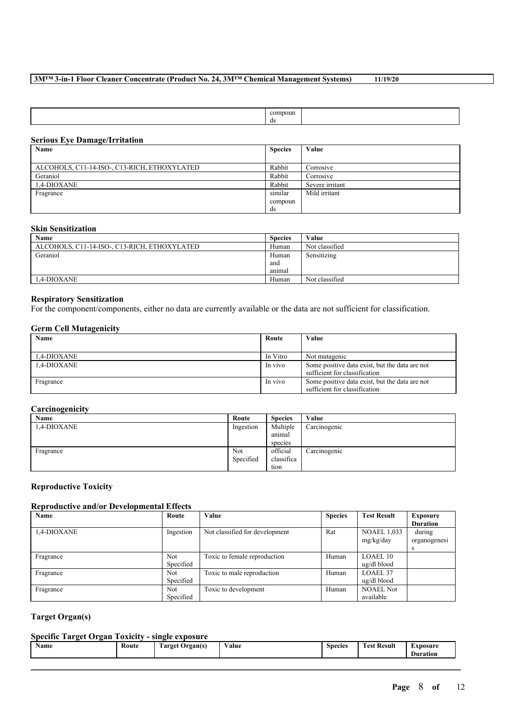|  |  | compoun<br>ds |  |
|--|--|---------------|--|
|--|--|---------------|--|

## **Serious Eye Damage/Irritation**

| Name                                         | <b>Species</b> | Value           |
|----------------------------------------------|----------------|-----------------|
|                                              |                |                 |
| ALCOHOLS, C11-14-ISO-, C13-RICH, ETHOXYLATED | Rabbit         | Corrosive       |
| Geraniol                                     | Rabbit         | Corrosive       |
| 1.4-DIOXANE                                  | Rabbit         | Severe irritant |
| Fragrance                                    | similar        | Mild irritant   |
|                                              | compoun        |                 |
|                                              | ds             |                 |

### **Skin Sensitization**

| Name                                         | <b>Species</b> | Value          |
|----------------------------------------------|----------------|----------------|
| ALCOHOLS, C11-14-ISO-, C13-RICH, ETHOXYLATED | Human          | Not classified |
| Geraniol                                     | Human          | Sensitizing    |
|                                              | and            |                |
|                                              | animal         |                |
| 1.4-DIOXANE                                  | Human          | Not classified |

## **Respiratory Sensitization**

For the component/components, either no data are currently available or the data are not sufficient for classification.

## **Germ Cell Mutagenicity**

| Name        | Route    | Value                                          |
|-------------|----------|------------------------------------------------|
|             |          |                                                |
| 1.4-DIOXANE | In Vitro | Not mutagenic                                  |
| 1.4-DIOXANE | In vivo  | Some positive data exist, but the data are not |
|             |          | sufficient for classification                  |
| Fragrance   | In vivo  | Some positive data exist, but the data are not |
|             |          | sufficient for classification                  |

## **Carcinogenicity**

| Name        | Route     | <b>Species</b> | Value        |
|-------------|-----------|----------------|--------------|
| 1,4-DIOXANE | Ingestion | Multiple       | Carcinogenic |
|             |           | anımal         |              |
|             |           | species        |              |
| Fragrance   | Not       | official       | Carcinogenic |
|             | Specified | classifica     |              |
|             |           | tion           |              |

## **Reproductive Toxicity**

## **Reproductive and/or Developmental Effects**

| Name        | Route      | <b>Value</b>                   | <b>Species</b> | <b>Test Result</b> | Exposure        |
|-------------|------------|--------------------------------|----------------|--------------------|-----------------|
|             |            |                                |                |                    | <b>Duration</b> |
| 1,4-DIOXANE | Ingestion  | Not classified for development | Rat            | <b>NOAEL 1,033</b> | during          |
|             |            |                                |                | mg/kg/day          | organogenesi    |
|             |            |                                |                |                    |                 |
| Fragrance   | <b>Not</b> | Toxic to female reproduction   | Human          | LOAEL10            |                 |
|             | Specified  |                                |                | ug/dl blood        |                 |
| Fragrance   | <b>Not</b> | Toxic to male reproduction     | Human          | <b>LOAEL 37</b>    |                 |
|             | Specified  |                                |                | ug/dl blood        |                 |
| Fragrance   | <b>Not</b> | Toxic to development           | Human          | <b>NOAEL Not</b>   |                 |
|             | Specified  |                                |                | available          |                 |

## **Target Organ(s)**

## **Specific Target Organ Toxicity - single exposure**

| <b>Name</b> | Route | <b>CONTRACTOR</b><br><b>Target Organ(s)</b> | Value | <b>Species</b> | <b><i>Fest Result</i></b><br><b>CONTRACTOR</b> | Exposure<br><b>Duration</b> |
|-------------|-------|---------------------------------------------|-------|----------------|------------------------------------------------|-----------------------------|
|             |       |                                             |       |                |                                                |                             |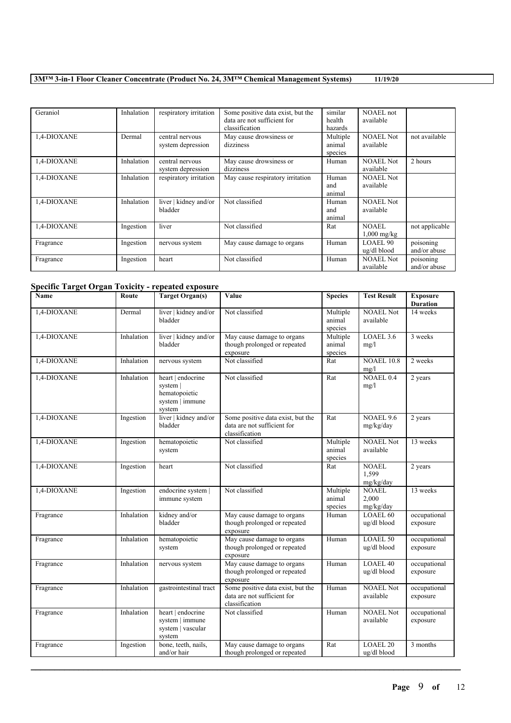| Geraniol    | Inhalation | respiratory irritation | Some positive data exist, but the<br>data are not sufficient for | similar<br>health | NOAEL not<br>available |                |
|-------------|------------|------------------------|------------------------------------------------------------------|-------------------|------------------------|----------------|
|             |            |                        | classification                                                   | hazards           |                        |                |
| 1,4-DIOXANE | Dermal     | central nervous        | May cause drowsiness or                                          | Multiple          | <b>NOAEL Not</b>       | not available  |
|             |            | system depression      | dizziness                                                        | animal            | available              |                |
|             |            |                        |                                                                  | species           |                        |                |
| 1,4-DIOXANE | Inhalation | central nervous        | May cause drowsiness or                                          | Human             | <b>NOAEL Not</b>       | 2 hours        |
|             |            | system depression      | dizziness                                                        |                   | available              |                |
| 1,4-DIOXANE | Inhalation | respiratory irritation | May cause respiratory irritation                                 | Human             | <b>NOAEL Not</b>       |                |
|             |            |                        |                                                                  | and               | available              |                |
|             |            |                        |                                                                  | animal            |                        |                |
| 1,4-DIOXANE | Inhalation | liver   kidney and/or  | Not classified                                                   | Human             | <b>NOAEL Not</b>       |                |
|             |            | bladder                |                                                                  | and               | available              |                |
|             |            |                        |                                                                  | animal            |                        |                |
| 1,4-DIOXANE | Ingestion  | liver                  | Not classified                                                   | Rat               | <b>NOAEL</b>           | not applicable |
|             |            |                        |                                                                  |                   | $1,000$ mg/kg          |                |
| Fragrance   | Ingestion  | nervous system         | May cause damage to organs                                       | Human             | <b>LOAEL 90</b>        | poisoning      |
|             |            |                        |                                                                  |                   | ug/dl blood            | and/or abuse   |
| Fragrance   | Ingestion  | heart                  | Not classified                                                   | Human             | <b>NOAEL Not</b>       | poisoning      |
|             |            |                        |                                                                  |                   | available              | and/or abuse   |

## **Specific Target Organ Toxicity - repeated exposure**

| Name        | Route      | <b>Target Organ(s)</b>                                                      | Value                                                                              | <b>Species</b>                | <b>Test Result</b>                 | <b>Exposure</b><br><b>Duration</b> |
|-------------|------------|-----------------------------------------------------------------------------|------------------------------------------------------------------------------------|-------------------------------|------------------------------------|------------------------------------|
| 1,4-DIOXANE | Dermal     | liver   kidney and/or<br>bladder                                            | Not classified                                                                     | Multiple<br>animal<br>species | <b>NOAEL Not</b><br>available      | 14 weeks                           |
| 1,4-DIOXANE | Inhalation | liver   kidney and/or<br>bladder                                            | May cause damage to organs<br>though prolonged or repeated<br>exposure             | Multiple<br>animal<br>species | LOAEL 3.6<br>mg/l                  | 3 weeks                            |
| 1,4-DIOXANE | Inhalation | nervous system                                                              | Not classified                                                                     | Rat                           | <b>NOAEL 10.8</b><br>mg/l          | 2 weeks                            |
| 1,4-DIOXANE | Inhalation | heart   endocrine<br>system  <br>hematopoietic<br>system   immune<br>system | Not classified                                                                     | Rat                           | <b>NOAEL 0.4</b><br>mg/l           | 2 years                            |
| 1,4-DIOXANE | Ingestion  | liver   kidney and/or<br>bladder                                            | Some positive data exist, but the<br>data are not sufficient for<br>classification | Rat                           | NOAEL 9.6<br>mg/kg/day             | 2 years                            |
| 1,4-DIOXANE | Ingestion  | hematopoietic<br>system                                                     | Not classified                                                                     | Multiple<br>animal<br>species | <b>NOAEL Not</b><br>available      | 13 weeks                           |
| 1,4-DIOXANE | Ingestion  | heart                                                                       | Not classified                                                                     | Rat                           | <b>NOAEL</b><br>1,599<br>mg/kg/day | 2 years                            |
| 1,4-DIOXANE | Ingestion  | endocrine system  <br>immune system                                         | Not classified                                                                     | Multiple<br>animal<br>species | <b>NOAEL</b><br>2,000<br>mg/kg/day | 13 weeks                           |
| Fragrance   | Inhalation | kidney and/or<br>bladder                                                    | May cause damage to organs<br>though prolonged or repeated<br>exposure             | Human                         | <b>LOAEL 60</b><br>ug/dl blood     | occupational<br>exposure           |
| Fragrance   | Inhalation | hematopoietic<br>system                                                     | May cause damage to organs<br>though prolonged or repeated<br>exposure             | Human                         | <b>LOAEL 50</b><br>ug/dl blood     | occupational<br>exposure           |
| Fragrance   | Inhalation | nervous system                                                              | May cause damage to organs<br>though prolonged or repeated<br>exposure             | Human                         | <b>LOAEL 40</b><br>ug/dl blood     | occupational<br>exposure           |
| Fragrance   | Inhalation | gastrointestinal tract                                                      | Some positive data exist, but the<br>data are not sufficient for<br>classification | Human                         | <b>NOAEL Not</b><br>available      | occupational<br>exposure           |
| Fragrance   | Inhalation | heart   endocrine<br>system   immune<br>system   vascular<br>system         | Not classified                                                                     | Human                         | <b>NOAEL Not</b><br>available      | occupational<br>exposure           |
| Fragrance   | Ingestion  | bone, teeth, nails,<br>and/or hair                                          | May cause damage to organs<br>though prolonged or repeated                         | Rat                           | <b>LOAEL 20</b><br>ug/dl blood     | 3 months                           |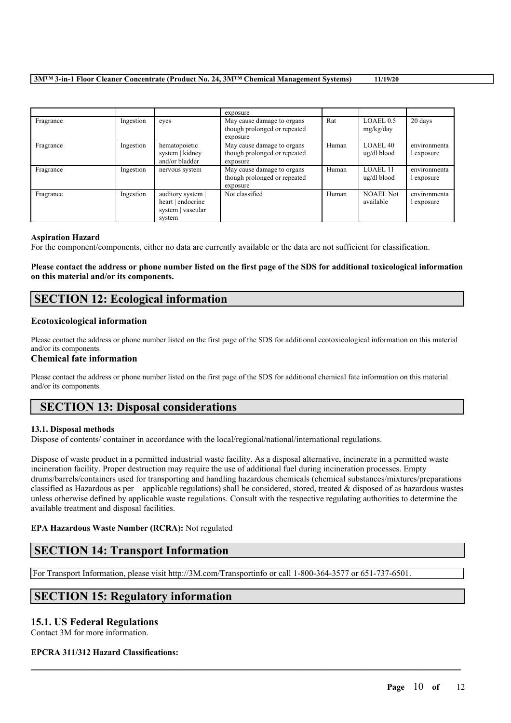|           |           |                                                                       | exposure                                                               |       |                                |                            |
|-----------|-----------|-----------------------------------------------------------------------|------------------------------------------------------------------------|-------|--------------------------------|----------------------------|
| Fragrance | Ingestion | eves                                                                  | May cause damage to organs<br>though prolonged or repeated<br>exposure | Rat   | LOAEL 0.5<br>mg/kg/day         | 20 days                    |
| Fragrance | Ingestion | hematopoietic<br>system   kidney<br>and/or bladder                    | May cause damage to organs<br>though prolonged or repeated<br>exposure | Human | <b>LOAEL 40</b><br>ug/dl blood | environmenta<br>l exposure |
| Fragrance | Ingestion | nervous system                                                        | May cause damage to organs<br>though prolonged or repeated<br>exposure | Human | LOAEL 11<br>ug/dl blood        | environmenta<br>l exposure |
| Fragrance | Ingestion | auditory system  <br>heart   endocrine<br>system   vascular<br>system | Not classified                                                         | Human | <b>NOAEL Not</b><br>available  | environmenta<br>l exposure |

#### **Aspiration Hazard**

For the component/components, either no data are currently available or the data are not sufficient for classification.

## Please contact the address or phone number listed on the first page of the SDS for additional toxicological information **on this material and/or its components.**

# **SECTION 12: Ecological information**

## **Ecotoxicological information**

Please contact the address or phone number listed on the first page of the SDS for additional ecotoxicological information on this material and/or its components.

## **Chemical fate information**

Please contact the address or phone number listed on the first page of the SDS for additional chemical fate information on this material and/or its components.

# **SECTION 13: Disposal considerations**

## **13.1. Disposal methods**

Dispose of contents/ container in accordance with the local/regional/national/international regulations.

Dispose of waste product in a permitted industrial waste facility. As a disposal alternative, incinerate in a permitted waste incineration facility. Proper destruction may require the use of additional fuel during incineration processes. Empty drums/barrels/containers used for transporting and handling hazardous chemicals (chemical substances/mixtures/preparations classified as Hazardous as per applicable regulations) shall be considered, stored, treated  $\&$  disposed of as hazardous wastes unless otherwise defined by applicable waste regulations. Consult with the respective regulating authorities to determine the available treatment and disposal facilities.

 $\mathcal{L}_\mathcal{L} = \mathcal{L}_\mathcal{L} = \mathcal{L}_\mathcal{L} = \mathcal{L}_\mathcal{L} = \mathcal{L}_\mathcal{L} = \mathcal{L}_\mathcal{L} = \mathcal{L}_\mathcal{L} = \mathcal{L}_\mathcal{L} = \mathcal{L}_\mathcal{L} = \mathcal{L}_\mathcal{L} = \mathcal{L}_\mathcal{L} = \mathcal{L}_\mathcal{L} = \mathcal{L}_\mathcal{L} = \mathcal{L}_\mathcal{L} = \mathcal{L}_\mathcal{L} = \mathcal{L}_\mathcal{L} = \mathcal{L}_\mathcal{L}$ 

## **EPA Hazardous Waste Number (RCRA):** Not regulated

# **SECTION 14: Transport Information**

For Transport Information, please visit http://3M.com/Transportinfo or call 1-800-364-3577 or 651-737-6501.

# **SECTION 15: Regulatory information**

## **15.1. US Federal Regulations**

Contact 3M for more information.

## **EPCRA 311/312 Hazard Classifications:**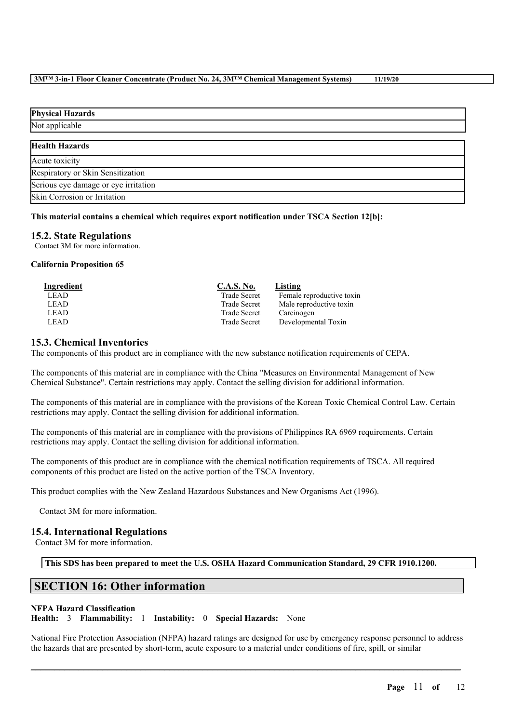# **Physical Hazards** Not applicable **Health Hazards** Acute toxicity Respiratory or Skin Sensitization Serious eye damage or eye irritation Skin Corrosion or Irritation

## **This material contains a chemical which requires export notification under TSCA Section 12[b]:**

## **15.2. State Regulations**

Contact 3M for more information.

## **California Proposition 65**

| Ingredient  | <b>C.A.S. No.</b>   | Listing                   |
|-------------|---------------------|---------------------------|
| LEAD        | <b>Trade Secret</b> | Female reproductive toxin |
| <b>LEAD</b> | <b>Trade Secret</b> | Male reproductive toxin   |
| <b>LEAD</b> | <b>Trade Secret</b> | Carcinogen                |
| <b>LEAD</b> | <b>Trade Secret</b> | Developmental Toxin       |

## **15.3. Chemical Inventories**

The components of this product are in compliance with the new substance notification requirements of CEPA.

The components of this material are in compliance with the China "Measures on Environmental Management of New Chemical Substance". Certain restrictions may apply. Contact the selling division for additional information.

The components of this material are in compliance with the provisions of the Korean Toxic Chemical Control Law. Certain restrictions may apply. Contact the selling division for additional information.

The components of this material are in compliance with the provisions of Philippines RA 6969 requirements. Certain restrictions may apply. Contact the selling division for additional information.

The components of this product are in compliance with the chemical notification requirements of TSCA. All required components of this product are listed on the active portion of the TSCA Inventory.

This product complies with the New Zealand Hazardous Substances and New Organisms Act (1996).

Contact 3M for more information.

## **15.4. International Regulations**

Contact 3M for more information.

**This SDS has been prepared to meet the U.S. OSHA Hazard Communication Standard, 29 CFR 1910.1200.**

# **SECTION 16: Other information**

## **NFPA Hazard Classification**

**Health:** 3 **Flammability:** 1 **Instability:** 0 **Special Hazards:** None

National Fire Protection Association (NFPA) hazard ratings are designed for use by emergency response personnel to address the hazards that are presented by short-term, acute exposure to a material under conditions of fire, spill, or similar